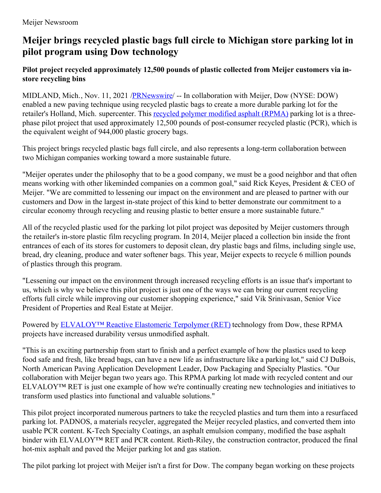# **Meijer brings recycled plastic bags full circle to Michigan store parking lot in pilot program using Dow technology**

### **Pilot project recycled approximately 12,500 pounds of plastic collected from Meijer customers via instore recycling bins**

MIDLAND, Mich., Nov. 11, 2021 /**PRNewswire/** -- In collaboration with Meijer, Dow (NYSE: DOW) enabled a new paving technique using recycled plastic bags to create a more durable parking lot for the retailer's Holland, Mich. supercenter. This recycled polymer [modified](https://c212.net/c/link/?t=0&l=en&o=3356253-1&h=2910228135&u=https%3A%2F%2Fwww.dow.com%2Fen-us%2Fmarket%2Fmkt-building-construction%2Fsub-build-construction-chem%2Fapp-build-constchem-asphalt-modification%2Frecycled-polymer-modified-asphalt.html&a=recycled+polymer+modified+asphalt+(RPMA)) asphalt (RPMA) parking lot is a threephase pilot project that used approximately 12,500 pounds of post-consumer recycled plastic (PCR), which is the equivalent weight of 944,000 plastic grocery bags.

This project brings recycled plastic bags full circle, and also represents a long-term collaboration between two Michigan companies working toward a more sustainable future.

"Meijer operates under the philosophy that to be a good company, we must be a good neighbor and that often means working with other likeminded companies on a common goal," said Rick Keyes, President & CEO of Meijer. "We are committed to lessening our impact on the environment and are pleased to partner with our customers and Dow in the largest in-state project of this kind to better demonstrate our commitment to a circular economy through recycling and reusing plastic to better ensure a more sustainable future."

All of the recycled plastic used for the parking lot pilot project was deposited by Meijer customers through the retailer's in-store plastic film recycling program. In 2014, Meijer placed a collection bin inside the front entrances of each of its stores for customers to deposit clean, dry plastic bags and films, including single use, bread, dry cleaning, produce and water softener bags. This year, Meijer expects to recycle 6 million pounds of plastics through this program.

"Lessening our impact on the environment through increased recycling efforts is an issue that's important to us, which is why we believe this pilot project is just one of the ways we can bring our current recycling efforts full circle while improving our customer shopping experience," said Vik Srinivasan, Senior Vice President of Properties and Real Estate at Meijer.

Powered by [ELVALOY™](https://c212.net/c/link/?t=0&l=en&o=3356253-1&h=4106278867&u=https%3A%2F%2Fwww.dow.com%2Fen-us%2Fbrand%2Felvaloy-ret.html&a=ELVALOY%E2%84%A2+Reactive+Elastomeric+Terpolymer+(RET)) Reactive Elastomeric Terpolymer (RET) technology from Dow, these RPMA projects have increased durability versus unmodified asphalt.

"This is an exciting partnership from start to finish and a perfect example of how the plastics used to keep food safe and fresh, like bread bags, can have a new life as infrastructure like a parking lot," said CJ DuBois, North American Paving Application Development Leader, Dow Packaging and Specialty Plastics. "Our collaboration with Meijer began two years ago. This RPMA parking lot made with recycled content and our ELVALOY™ RET is just one example of how we're continually creating new technologies and initiatives to transform used plastics into functional and valuable solutions."

This pilot project incorporated numerous partners to take the recycled plastics and turn them into a resurfaced parking lot. PADNOS, a materials recycler, aggregated the Meijer recycled plastics, and converted them into usable PCR content. K-Tech Specialty Coatings, an asphalt emulsion company, modified the base asphalt binder with ELVALOY™ RET and PCR content. Rieth-Riley, the construction contractor, produced the final hot-mix asphalt and paved the Meijer parking lot and gas station.

The pilot parking lot project with Meijer isn't a first for Dow. The company began working on these projects